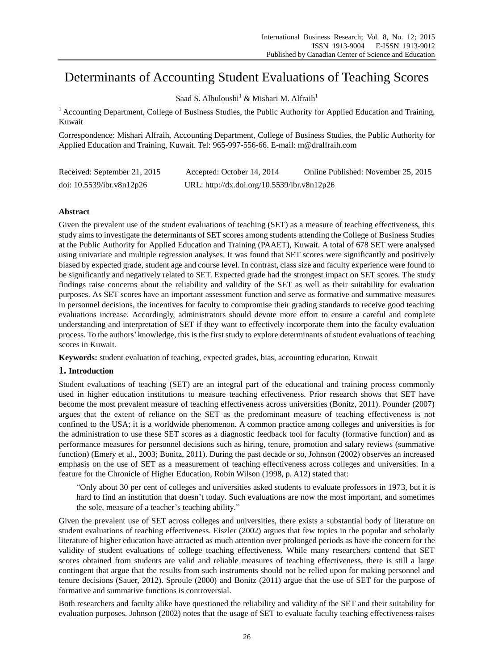# Determinants of Accounting Student Evaluations of Teaching Scores

Saad S. Albuloushi<sup>1</sup> & Mishari M. Alfraih<sup>1</sup>

<sup>1</sup> Accounting Department, College of Business Studies, the Public Authority for Applied Education and Training, Kuwait

Correspondence: Mishari Alfraih, Accounting Department, College of Business Studies, the Public Authority for Applied Education and Training, Kuwait. Tel: 965-997-556-66. E-mail: [m@dralfraih.com](mailto:m@dralfraih.com)

| Received: September 21, 2015 | Accepted: October 14, 2014                  | Online Published: November 25, 2015 |
|------------------------------|---------------------------------------------|-------------------------------------|
| doi: $10.5539$ /ibr.v8n12p26 | URL: http://dx.doi.org/10.5539/ibr.v8n12p26 |                                     |

# **Abstract**

Given the prevalent use of the student evaluations of teaching (SET) as a measure of teaching effectiveness, this study aims to investigate the determinants of SET scores among students attending the College of Business Studies at the Public Authority for Applied Education and Training (PAAET), Kuwait. A total of 678 SET were analysed using univariate and multiple regression analyses. It was found that SET scores were significantly and positively biased by expected grade, student age and course level. In contrast, class size and faculty experience were found to be significantly and negatively related to SET. Expected grade had the strongest impact on SET scores. The study findings raise concerns about the reliability and validity of the SET as well as their suitability for evaluation purposes. As SET scores have an important assessment function and serve as formative and summative measures in personnel decisions, the incentives for faculty to compromise their grading standards to receive good teaching evaluations increase. Accordingly, administrators should devote more effort to ensure a careful and complete understanding and interpretation of SET if they want to effectively incorporate them into the faculty evaluation process. To the authors' knowledge, this is the first study to explore determinants of student evaluations of teaching scores in Kuwait.

**Keywords:** student evaluation of teaching, expected grades, bias, accounting education, Kuwait

# **1. Introduction**

Student evaluations of teaching (SET) are an integral part of the educational and training process commonly used in higher education institutions to measure teaching effectiveness. Prior research shows that SET have become the most prevalent measure of teaching effectiveness across universities (Bonitz, 2011). Pounder (2007) argues that the extent of reliance on the SET as the predominant measure of teaching effectiveness is not confined to the USA; it is a worldwide phenomenon. A common practice among colleges and universities is for the administration to use these SET scores as a diagnostic feedback tool for faculty (formative function) and as performance measures for personnel decisions such as hiring, tenure, promotion and salary reviews (summative function) (Emery et al., 2003; Bonitz, 2011). During the past decade or so, Johnson (2002) observes an increased emphasis on the use of SET as a measurement of teaching effectiveness across colleges and universities. In a feature for the Chronicle of Higher Education, Robin Wilson (1998, p. A12) stated that:

"Only about 30 per cent of colleges and universities asked students to evaluate professors in 1973, but it is hard to find an institution that doesn't today. Such evaluations are now the most important, and sometimes the sole, measure of a teacher's teaching ability."

Given the prevalent use of SET across colleges and universities, there exists a substantial body of literature on student evaluations of teaching effectiveness. Eiszler (2002) argues that few topics in the popular and scholarly literature of higher education have attracted as much attention over prolonged periods as have the concern for the validity of student evaluations of college teaching effectiveness. While many researchers contend that SET scores obtained from students are valid and reliable measures of teaching effectiveness, there is still a large contingent that argue that the results from such instruments should not be relied upon for making personnel and tenure decisions (Sauer, 2012). Sproule (2000) and Bonitz (2011) argue that the use of SET for the purpose of formative and summative functions is controversial.

Both researchers and faculty alike have questioned the reliability and validity of the SET and their suitability for evaluation purposes. Johnson (2002) notes that the usage of SET to evaluate faculty teaching effectiveness raises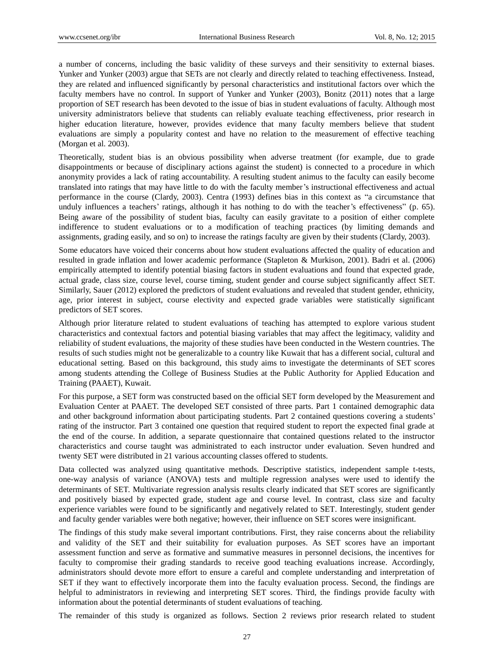a number of concerns, including the basic validity of these surveys and their sensitivity to external biases. Yunker and Yunker (2003) argue that SETs are not clearly and directly related to teaching effectiveness. Instead, they are related and influenced significantly by personal characteristics and institutional factors over which the faculty members have no control. In support of Yunker and Yunker (2003), Bonitz (2011) notes that a large proportion of SET research has been devoted to the issue of bias in student evaluations of faculty. Although most university administrators believe that students can reliably evaluate teaching effectiveness, prior research in higher education literature, however, provides evidence that many faculty members believe that student evaluations are simply a popularity contest and have no relation to the measurement of effective teaching (Morgan et al. 2003).

Theoretically, student bias is an obvious possibility when adverse treatment (for example, due to grade disappointments or because of disciplinary actions against the student) is connected to a procedure in which anonymity provides a lack of rating accountability. A resulting student animus to the faculty can easily become translated into ratings that may have little to do with the faculty member's instructional effectiveness and actual performance in the course (Clardy, 2003). Centra (1993) defines bias in this context as "a circumstance that unduly influences a teachers' ratings, although it has nothing to do with the teacher's effectiveness" (p. 65). Being aware of the possibility of student bias, faculty can easily gravitate to a position of either complete indifference to student evaluations or to a modification of teaching practices (by limiting demands and assignments, grading easily, and so on) to increase the ratings faculty are given by their students (Clardy, 2003).

Some educators have voiced their concerns about how student evaluations affected the quality of education and resulted in grade inflation and lower academic performance (Stapleton & Murkison, 2001). Badri et al. (2006) empirically attempted to identify potential biasing factors in student evaluations and found that expected grade, actual grade, class size, course level, course timing, student gender and course subject significantly affect SET. Similarly, Sauer (2012) explored the predictors of student evaluations and revealed that student gender, ethnicity, age, prior interest in subject, course electivity and expected grade variables were statistically significant predictors of SET scores.

Although prior literature related to student evaluations of teaching has attempted to explore various student characteristics and contextual factors and potential biasing variables that may affect the legitimacy, validity and reliability of student evaluations, the majority of these studies have been conducted in the Western countries. The results of such studies might not be generalizable to a country like Kuwait that has a different social, cultural and educational setting. Based on this background, this study aims to investigate the determinants of SET scores among students attending the College of Business Studies at the Public Authority for Applied Education and Training (PAAET), Kuwait.

For this purpose, a SET form was constructed based on the official SET form developed by the Measurement and Evaluation Center at PAAET. The developed SET consisted of three parts. Part 1 contained demographic data and other background information about participating students. Part 2 contained questions covering a students' rating of the instructor. Part 3 contained one question that required student to report the expected final grade at the end of the course. In addition, a separate questionnaire that contained questions related to the instructor characteristics and course taught was administrated to each instructor under evaluation. Seven hundred and twenty SET were distributed in 21 various accounting classes offered to students.

Data collected was analyzed using quantitative methods. Descriptive statistics, independent sample t-tests, one-way analysis of variance (ANOVA) tests and multiple regression analyses were used to identify the determinants of SET. Multivariate regression analysis results clearly indicated that SET scores are significantly and positively biased by expected grade, student age and course level*.* In contrast, class size and faculty experience variables were found to be significantly and negatively related to SET*.* Interestingly, student gender and faculty gender variables were both negative; however, their influence on SET scores were insignificant.

The findings of this study make several important contributions. First, they raise concerns about the reliability and validity of the SET and their suitability for evaluation purposes. As SET scores have an important assessment function and serve as formative and summative measures in personnel decisions, the incentives for faculty to compromise their grading standards to receive good teaching evaluations increase. Accordingly, administrators should devote more effort to ensure a careful and complete understanding and interpretation of SET if they want to effectively incorporate them into the faculty evaluation process. Second, the findings are helpful to administrators in reviewing and interpreting SET scores. Third, the findings provide faculty with information about the potential determinants of student evaluations of teaching.

The remainder of this study is organized as follows. Section 2 reviews prior research related to student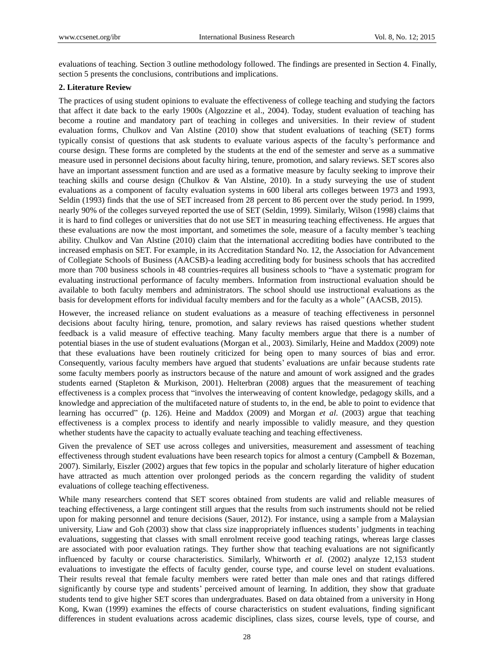evaluations of teaching. Section 3 outline methodology followed. The findings are presented in Section 4. Finally, section 5 presents the conclusions, contributions and implications.

## **2. Literature Review**

The practices of using student opinions to evaluate the effectiveness of college teaching and studying the factors that affect it date back to the early 1900s (Algozzine et al., 2004). Today, student evaluation of teaching has become a routine and mandatory part of teaching in colleges and universities. In their review of student evaluation forms, Chulkov and Van Alstine (2010) show that student evaluations of teaching (SET) forms typically consist of questions that ask students to evaluate various aspects of the faculty's performance and course design. These forms are completed by the students at the end of the semester and serve as a summative measure used in personnel decisions about faculty hiring, tenure, promotion, and salary reviews. SET scores also have an important assessment function and are used as a formative measure by faculty seeking to improve their teaching skills and course design (Chulkov & Van Alstine, 2010). In a study surveying the use of student evaluations as a component of faculty evaluation systems in 600 liberal arts colleges between 1973 and 1993, Seldin (1993) finds that the use of SET increased from 28 percent to 86 percent over the study period. In 1999, nearly 90% of the colleges surveyed reported the use of SET (Seldin, 1999). Similarly, Wilson (1998) claims that it is hard to find colleges or universities that do not use SET in measuring teaching effectiveness. He argues that these evaluations are now the most important, and sometimes the sole, measure of a faculty member's teaching ability. Chulkov and Van Alstine (2010) claim that the international accrediting bodies have contributed to the increased emphasis on SET. For example, in its Accreditation Standard No. 12, the Association for Advancement of Collegiate Schools of Business (AACSB)-a leading accrediting body for business schools that has accredited more than 700 business schools in 48 countries-requires all business schools to "have a systematic program for evaluating instructional performance of faculty members. Information from instructional evaluation should be available to both faculty members and administrators. The school should use instructional evaluations as the basis for development efforts for individual faculty members and for the faculty as a whole" (AACSB, 2015).

However, the increased reliance on student evaluations as a measure of teaching effectiveness in personnel decisions about faculty hiring, tenure, promotion, and salary reviews has raised questions whether student feedback is a valid measure of effective teaching. Many faculty members argue that there is a number of potential biases in the use of student evaluations (Morgan et al., 2003). Similarly, Heine and Maddox (2009) note that these evaluations have been routinely criticized for being open to many sources of bias and error. Consequently, various faculty members have argued that students' evaluations are unfair because students rate some faculty members poorly as instructors because of the nature and amount of work assigned and the grades students earned (Stapleton & Murkison, 2001). Helterbran (2008) argues that the measurement of teaching effectiveness is a complex process that "involves the interweaving of content knowledge, pedagogy skills, and a knowledge and appreciation of the multifaceted nature of students to, in the end, be able to point to evidence that learning has occurred" (p. 126). Heine and Maddox (2009) and Morgan *et al*. (2003) argue that teaching effectiveness is a complex process to identify and nearly impossible to validly measure, and they question whether students have the capacity to actually evaluate teaching and teaching effectiveness.

Given the prevalence of SET use across colleges and universities, measurement and assessment of teaching effectiveness through student evaluations have been research topics for almost a century (Campbell & Bozeman, 2007). Similarly, Eiszler (2002) argues that few topics in the popular and scholarly literature of higher education have attracted as much attention over prolonged periods as the concern regarding the validity of student evaluations of college teaching effectiveness.

While many researchers contend that SET scores obtained from students are valid and reliable measures of teaching effectiveness, a large contingent still argues that the results from such instruments should not be relied upon for making personnel and tenure decisions (Sauer, 2012). For instance, using a sample from a Malaysian university, Liaw and Goh (2003) show that class size inappropriately influences students' judgments in teaching evaluations, suggesting that classes with small enrolment receive good teaching ratings, whereas large classes are associated with poor evaluation ratings. They further show that teaching evaluations are not significantly influenced by faculty or course characteristics. Similarly, Whitworth *et al.* (2002) analyze 12,153 student evaluations to investigate the effects of faculty gender, course type, and course level on student evaluations. Their results reveal that female faculty members were rated better than male ones and that ratings differed significantly by course type and students' perceived amount of learning. In addition, they show that graduate students tend to give higher SET scores than undergraduates. Based on data obtained from a university in Hong Kong, Kwan (1999) examines the effects of course characteristics on student evaluations, finding significant differences in student evaluations across academic disciplines, class sizes, course levels, type of course, and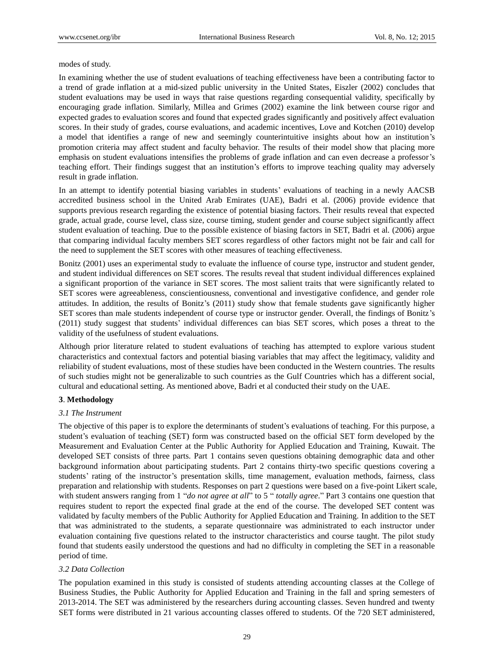modes of study.

In examining whether the use of student evaluations of teaching effectiveness have been a contributing factor to a trend of grade inflation at a mid-sized public university in the United States, Eiszler (2002) concludes that student evaluations may be used in ways that raise questions regarding consequential validity, specifically by encouraging grade inflation. Similarly, Millea and Grimes (2002) examine the link between course rigor and expected grades to evaluation scores and found that expected grades significantly and positively affect evaluation scores. In their study of grades, course evaluations, and academic incentives, Love and Kotchen (2010) develop a model that identifies a range of new and seemingly counterintuitive insights about how an institution's promotion criteria may affect student and faculty behavior. The results of their model show that placing more emphasis on student evaluations intensifies the problems of grade inflation and can even decrease a professor's teaching effort. Their findings suggest that an institution's efforts to improve teaching quality may adversely result in grade inflation.

In an attempt to identify potential biasing variables in students' evaluations of teaching in a newly AACSB accredited business school in the United Arab Emirates (UAE), Badri et al. (2006) provide evidence that supports previous research regarding the existence of potential biasing factors. Their results reveal that expected grade, actual grade, course level, class size, course timing, student gender and course subject significantly affect student evaluation of teaching. Due to the possible existence of biasing factors in SET, Badri et al*.* (2006) argue that comparing individual faculty members SET scores regardless of other factors might not be fair and call for the need to supplement the SET scores with other measures of teaching effectiveness.

Bonitz (2001) uses an experimental study to evaluate the influence of course type, instructor and student gender, and student individual differences on SET scores. The results reveal that student individual differences explained a significant proportion of the variance in SET scores. The most salient traits that were significantly related to SET scores were agreeableness, conscientiousness, conventional and investigative confidence, and gender role attitudes. In addition, the results of Bonitz's (2011) study show that female students gave significantly higher SET scores than male students independent of course type or instructor gender. Overall, the findings of Bonitz's (2011) study suggest that students' individual differences can bias SET scores, which poses a threat to the validity of the usefulness of student evaluations.

Although prior literature related to student evaluations of teaching has attempted to explore various student characteristics and contextual factors and potential biasing variables that may affect the legitimacy, validity and reliability of student evaluations, most of these studies have been conducted in the Western countries. The results of such studies might not be generalizable to such countries as the Gulf Countries which has a different social, cultural and educational setting. As mentioned above, Badri et al conducted their study on the UAE.

## **3**. **Methodology**

#### *3.1 The Instrument*

The objective of this paper is to explore the determinants of student's evaluations of teaching. For this purpose, a student's evaluation of teaching (SET) form was constructed based on the official SET form developed by the Measurement and Evaluation Center at the Public Authority for Applied Education and Training, Kuwait. The developed SET consists of three parts. Part 1 contains seven questions obtaining demographic data and other background information about participating students. Part 2 contains thirty-two specific questions covering a students' rating of the instructor's presentation skills, time management, evaluation methods, fairness, class preparation and relationship with students. Responses on part 2 questions were based on a five-point Likert scale, with student answers ranging from 1 "*do not agree at all*" to 5 " *totally agree*." Part 3 contains one question that requires student to report the expected final grade at the end of the course. The developed SET content was validated by faculty members of the Public Authority for Applied Education and Training. In addition to the SET that was administrated to the students, a separate questionnaire was administrated to each instructor under evaluation containing five questions related to the instructor characteristics and course taught. The pilot study found that students easily understood the questions and had no difficulty in completing the SET in a reasonable period of time.

### *3.2 Data Collection*

The population examined in this study is consisted of students attending accounting classes at the College of Business Studies, the Public Authority for Applied Education and Training in the fall and spring semesters of 2013-2014. The SET was administered by the researchers during accounting classes. Seven hundred and twenty SET forms were distributed in 21 various accounting classes offered to students. Of the 720 SET administered,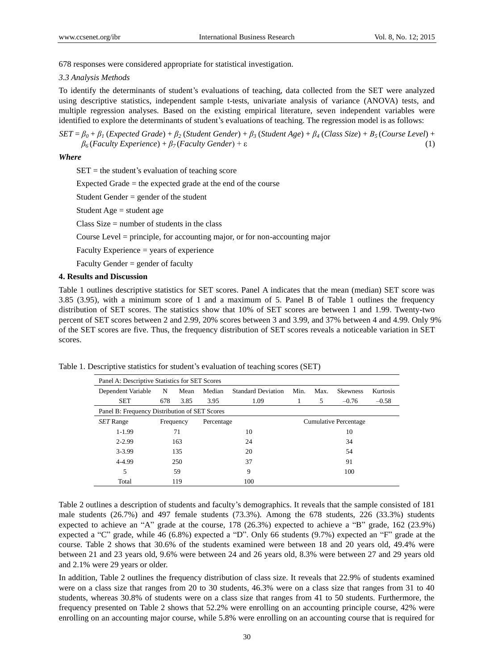678 responses were considered appropriate for statistical investigation.

#### *3.3 Analysis Methods*

To identify the determinants of student's evaluations of teaching, data collected from the SET were analyzed using descriptive statistics, independent sample t-tests, univariate analysis of variance (ANOVA) tests, and multiple regression analyses. Based on the existing empirical literature, seven independent variables were identified to explore the determinants of student's evaluations of teaching. The regression model is as follows:

 $SET = \beta_0 + \beta_1$  (Expected Grade) +  $\beta_2$  (Student Gender) +  $\beta_3$  (Student Age) +  $\beta_4$  (Class Size) +  $B_5$  (Course Level) +  $\beta_6$  (*Faculty Experience*) +  $\beta_7$  (*Faculty Gender*) + ε (1)

#### *Where*

 $SET =$  the student's evaluation of teaching score

Expected Grade = the expected grade at the end of the course

Student Gender = gender of the student

Student Age = student age

Class  $Size = number of students in the class$ 

Course Level = principle, for accounting major, or for non-accounting major

Faculty Experience = years of experience

Faculty Gender = gender of faculty

#### **4. Results and Discussion**

Table 1 outlines descriptive statistics for SET scores. Panel A indicates that the mean (median) SET score was 3.85 (3.95), with a minimum score of 1 and a maximum of 5. Panel B of Table 1 outlines the frequency distribution of SET scores. The statistics show that 10% of SET scores are between 1 and 1.99. Twenty-two percent of SET scores between 2 and 2.99, 20% scores between 3 and 3.99, and 37% between 4 and 4.99. Only 9% of the SET scores are five. Thus, the frequency distribution of SET scores reveals a noticeable variation in SET scores.

| Panel A: Descriptive Statistics for SET Scores |                                               |      |                                     |     |      |      |                       |          |
|------------------------------------------------|-----------------------------------------------|------|-------------------------------------|-----|------|------|-----------------------|----------|
| Dependent Variable                             | N                                             | Mean | <b>Standard Deviation</b><br>Median |     | Min. | Max. | <b>Skewness</b>       | Kurtosis |
| <b>SET</b>                                     | 678                                           | 3.85 | 3.95<br>1.09                        |     |      | 5    | $-0.76$               | $-0.58$  |
|                                                | Panel B: Frequency Distribution of SET Scores |      |                                     |     |      |      |                       |          |
| SET Range                                      | Frequency                                     |      | Percentage                          |     |      |      | Cumulative Percentage |          |
| $1 - 1.99$                                     |                                               | 71   |                                     | 10  |      |      | 10                    |          |
| $2 - 2.99$                                     |                                               | 163  |                                     | 24  |      |      | 34                    |          |
| $3 - 3.99$                                     | 135                                           |      | 20                                  |     |      |      | 54                    |          |
| 4-4.99                                         | 250                                           |      | 37                                  |     |      |      | 91                    |          |
| 5                                              |                                               | 59   | 9                                   |     |      |      | 100                   |          |
| Total                                          |                                               | 119  |                                     | 100 |      |      |                       |          |

Table 1. Descriptive statistics for student's evaluation of teaching scores (SET)

Table 2 outlines a description of students and faculty's demographics. It reveals that the sample consisted of 181 male students (26.7%) and 497 female students (73.3%). Among the 678 students, 226 (33.3%) students expected to achieve an "A" grade at the course, 178 (26.3%) expected to achieve a "B" grade, 162 (23.9%) expected a "C" grade, while 46 (6.8%) expected a "D". Only 66 students (9.7%) expected an "F" grade at the course. Table 2 shows that 30.6% of the students examined were between 18 and 20 years old, 49.4% were between 21 and 23 years old, 9.6% were between 24 and 26 years old, 8.3% were between 27 and 29 years old and 2.1% were 29 years or older.

In addition, Table 2 outlines the frequency distribution of class size. It reveals that 22.9% of students examined were on a class size that ranges from 20 to 30 students, 46.3% were on a class size that ranges from 31 to 40 students, whereas 30.8% of students were on a class size that ranges from 41 to 50 students. Furthermore, the frequency presented on Table 2 shows that 52.2% were enrolling on an accounting principle course, 42% were enrolling on an accounting major course, while 5.8% were enrolling on an accounting course that is required for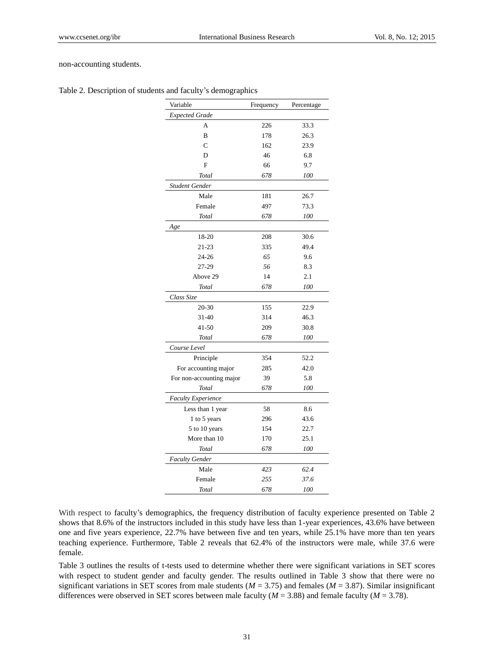## non-accounting students.

| Variable                 | Frequency | Percentage |
|--------------------------|-----------|------------|
| <b>Expected Grade</b>    |           |            |
| А                        | 226       | 33.3       |
| B                        | 178       | 26.3       |
| $\overline{C}$           | 162       | 23.9       |
| D                        | 46        | 6.8        |
| F                        | 66        | 9.7        |
| Total                    | 678       | 100        |
| Student Gender           |           |            |
| Male                     | 181       | 26.7       |
| Female                   | 497       | 73.3       |
| Total                    | 678       | 100        |
| Age                      |           |            |
| 18-20                    | 208       | 30.6       |
| 21-23                    | 335       | 49.4       |
| 24-26                    | 65        | 9.6        |
| 27-29                    | 56        | 8.3        |
| Above 29                 | 14        | 2.1        |
| Total                    | 678       | 100        |
| Class Size               |           |            |
| 20-30                    | 155       | 22.9       |
| 31-40                    | 314       | 46.3       |
| 41-50                    | 209       | 30.8       |
| Total                    | 678       | 100        |
| Course Level             |           |            |
| Principle                | 354       | 52.2       |
| For accounting major     | 285       | 42.0       |
| For non-accounting major | 39        | 5.8        |
| Total                    | 678       | 100        |
| Faculty Experience       |           |            |
| Less than 1 year         | 58        | 8.6        |
| 1 to 5 years             | 296       | 43.6       |
| 5 to 10 years            | 154       | 22.7       |
| More than 10             | 170       | 25.1       |
| Total                    | 678       | 100        |
| <b>Faculty Gender</b>    |           |            |
| Male                     | 423       | 62.4       |
| Female                   | 255       | 37.6       |
| Total                    | 678       | 100        |

Table 2. Description of students and faculty's demographics

With respect to faculty's demographics, the frequency distribution of faculty experience presented on Table 2 shows that 8.6% of the instructors included in this study have less than 1-year experiences, 43.6% have between one and five years experience, 22.7% have between five and ten years, while 25.1% have more than ten years teaching experience. Furthermore, Table 2 reveals that 62.4% of the instructors were male, while 37.6 were female.

Table 3 outlines the results of t-tests used to determine whether there were significant variations in SET scores with respect to student gender and faculty gender. The results outlined in Table 3 show that there were no significant variations in SET scores from male students  $(M = 3.75)$  and females  $(M = 3.87)$ . Similar insignificant differences were observed in SET scores between male faculty ( $M = 3.88$ ) and female faculty ( $M = 3.78$ ).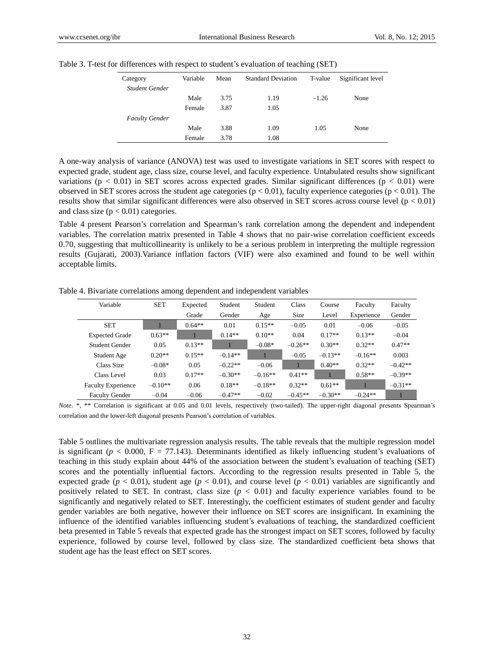| Category<br>Student Gender | Variable | Mean | <b>Standard Deviation</b> | T-value | Significant level |
|----------------------------|----------|------|---------------------------|---------|-------------------|
|                            |          |      |                           |         |                   |
|                            | Male     | 3.75 | 1.19                      | $-1.26$ | None              |
|                            | Female   | 3.87 | 1.05                      |         |                   |
| <b>Faculty Gender</b>      |          |      |                           |         |                   |
|                            | Male     | 3.88 | 1.09                      | 1.05    | None              |
|                            | Female   | 3.78 | 1.08                      |         |                   |

Table 3. T-test for differences with respect to student's evaluation of teaching (SET)

A one-way analysis of variance (ANOVA) test was used to investigate variations in SET scores with respect to expected grade, student age, class size, course level, and faculty experience. Untabulated results show significant variations ( $p < 0.01$ ) in SET scores across expected grades. Similar significant differences ( $p < 0.01$ ) were observed in SET scores across the student age categories ( $p < 0.01$ ), faculty experience categories ( $p < 0.01$ ). The results show that similar significant differences were also observed in SET scores across course level ( $p < 0.01$ ) and class size  $(p < 0.01)$  categories.

Table 4 present Pearson's correlation and Spearman's rank correlation among the dependent and independent variables. The correlation matrix presented in Table 4 shows that no pair-wise correlation coefficient exceeds 0.70, suggesting that multicollinearity is unlikely to be a serious problem in interpreting the multiple regression results (Gujarati, 2003).Variance inflation factors (VIF) were also examined and found to be well within acceptable limits.

Table 4. Bivariate correlations among dependent and independent variables

| Variable                  | <b>SET</b> | Expected | Student   | Student   | Class     | Course    | Faculty    | Faculty   |
|---------------------------|------------|----------|-----------|-----------|-----------|-----------|------------|-----------|
|                           |            | Grade    | Gender    | Age       | Size      | Level     | Experience | Gender    |
| <b>SET</b>                |            | $0.64**$ | 0.01      | $0.15**$  | $-0.05$   | 0.01      | $-0.06$    | $-0.05$   |
| <b>Expected Grade</b>     | $0.63**$   |          | $0.14**$  | $0.10**$  | 0.04      | $0.17**$  | $0.13**$   | $-0.04$   |
| Student Gender            | 0.05       | $0.13**$ |           | $-0.08*$  | $-0.26**$ | $0.30**$  | $0.32**$   | $0.47**$  |
| Student Age               | $0.20**$   | $0.15**$ | $-0.14**$ |           | $-0.05$   | $-0.13**$ | $-0.16**$  | 0.003     |
| Class Size                | $-0.08*$   | 0.05     | $-0.22**$ | $-0.06$   |           | $0.40**$  | $0.32**$   | $-0.42**$ |
| Class Level               | 0.03       | $0.17**$ | $-0.30**$ | $-0.16**$ | $0.41**$  |           | $0.58**$   | $-0.39**$ |
| <b>Faculty Experience</b> | $-0.10**$  | 0.06     | $0.18**$  | $-0.18**$ | $0.32**$  | $0.61**$  |            | $-0.31**$ |
| <b>Faculty Gender</b>     | $-0.04$    | $-0.06$  | $-0.47**$ | $-0.02$   | $-0.45**$ | $-0.30**$ | $-0.24**$  |           |

*Note.* \*, \*\* Correlation is significant at 0.05 and 0.01 levels, respectively (two-tailed). The upper-right diagonal presents Spearman's correlation and the lower-left diagonal presents Pearson's correlation of variables.

Table 5 outlines the multivariate regression analysis results. The table reveals that the multiple regression model is significant ( $p < 0.000$ ,  $F = 77.143$ ). Determinants identified as likely influencing student's evaluations of teaching in this study explain about 44% of the association between the student's evaluation of teaching (SET) scores and the potentially influential factors. According to the regression results presented in Table 5, the expected grade ( $p < 0.01$ ), student age ( $p < 0.01$ ), and course level ( $p < 0.01$ ) variables are significantly and positively related to SET. In contrast, class size  $(p < 0.01)$  and faculty experience variables found to be significantly and negatively related to SET*.* Interestingly, the coefficient estimates of student gender and faculty gender variables are both negative, however their influence on SET scores are insignificant. In examining the influence of the identified variables influencing student's evaluations of teaching, the standardized coefficient beta presented in Table 5 reveals that expected grade has the strongest impact on SET scores, followed by faculty experience*,* followed by course level*,* followed by class size*.* The standardized coefficient beta shows that student age has the least effect on SET scores.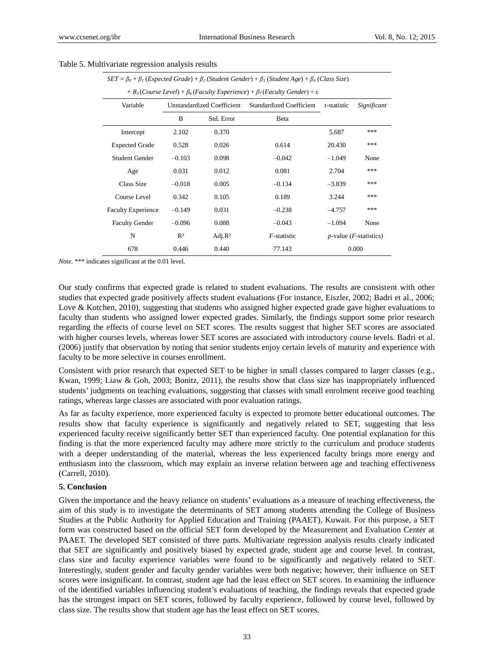| $SET = \beta_0 + \beta_1$ (Expected Grade) + $\beta_2$ (Student Gender) + $\beta_3$ (Student Age) + $\beta_4$ (Class Size) |                                   |            |                                 |             |                                    |  |  |  |
|----------------------------------------------------------------------------------------------------------------------------|-----------------------------------|------------|---------------------------------|-------------|------------------------------------|--|--|--|
| $+ B_5$ (Course Level) + $\beta_6$ (Faculty Experience) + $\beta_7$ (Faculty Gender) + $\varepsilon$                       |                                   |            |                                 |             |                                    |  |  |  |
| Variable                                                                                                                   | <b>Unstandardized Coefficient</b> |            | <b>Standardized Coefficient</b> | t-statistic | Significant                        |  |  |  |
|                                                                                                                            | B                                 | Std. Error | Beta                            |             |                                    |  |  |  |
| Intercept                                                                                                                  | 2.102                             | 0.370      |                                 | 5.687       | ***                                |  |  |  |
| <b>Expected Grade</b>                                                                                                      | 0.528                             | 0.026      | 0.614                           | 20.430      | ***                                |  |  |  |
| <b>Student Gender</b>                                                                                                      | $-0.103$                          | 0.098      | $-0.042$                        | $-1.049$    | None                               |  |  |  |
| Age                                                                                                                        | 0.031                             | 0.012      | 0.081                           | 2.704       | ***                                |  |  |  |
| Class Size                                                                                                                 | $-0.018$                          | 0.005      | $-0.134$                        | $-3.839$    | ***                                |  |  |  |
| Course Level                                                                                                               | 0.342                             | 0.105      | 0.189                           | 3.244       | ***                                |  |  |  |
| <b>Faculty Experience</b>                                                                                                  | $-0.149$                          | 0.031      | $-0.238$                        | $-4.757$    | ***                                |  |  |  |
| <b>Faculty Gender</b>                                                                                                      | $-0.096$                          | 0.088      | $-0.043$                        | $-1.094$    | None                               |  |  |  |
| N                                                                                                                          | R <sup>2</sup>                    | Adj. $R^2$ | <i>F</i> -statistic             |             | $p$ -value ( <i>F</i> -statistics) |  |  |  |
| 678                                                                                                                        | 0.446                             | 0.440      | 77.143                          |             | 0.000                              |  |  |  |

## Table 5. Multivariate regression analysis results

*Note.* \*\*\* indicates significant at the 0.01 level.

Our study confirms that expected grade is related to student evaluations. The results are consistent with other studies that expected grade positively affects student evaluations (For instance, Eiszler, 2002; Badri et al., 2006; Love & Kotchen, 2010), suggesting that students who assigned higher expected grade gave higher evaluations to faculty than students who assigned lower expected grades. Similarly, the findings support some prior research regarding the effects of course level on SET scores. The results suggest that higher SET scores are associated with higher courses levels, whereas lower SET scores are associated with introductory course levels. Badri et al. (2006) justify that observation by noting that senior students enjoy certain levels of maturity and experience with faculty to be more selective in courses enrollment.

Consistent with prior research that expected SET to be higher in small classes compared to larger classes (e.g., Kwan, 1999; Liaw & Goh, 2003; Bonitz, 2011), the results show that class size has inappropriately influenced students' judgments on teaching evaluations, suggesting that classes with small enrolment receive good teaching ratings, whereas large classes are associated with poor evaluation ratings.

As far as faculty experience, more experienced faculty is expected to promote better educational outcomes. The results show that faculty experience is significantly and negatively related to SET, suggesting that less experienced faculty receive significantly better SET than experienced faculty. One potential explanation for this finding is that the more experienced faculty may adhere more strictly to the curriculum and produce students with a deeper understanding of the material, whereas the less experienced faculty brings more energy and enthusiasm into the classroom, which may explain an inverse relation between age and teaching effectiveness (Carrell, 2010).

## **5. Conclusion**

Given the importance and the heavy reliance on students' evaluations as a measure of teaching effectiveness, the aim of this study is to investigate the determinants of SET among students attending the College of Business Studies at the Public Authority for Applied Education and Training (PAAET), Kuwait. For this purpose, a SET form was constructed based on the official SET form developed by the Measurement and Evaluation Center at PAAET. The developed SET consisted of three parts. Multivariate regression analysis results clearly indicated that SET are significantly and positively biased by expected grade, student age and course level*.* In contrast, class size and faculty experience variables were found to be significantly and negatively related to SET*.*  Interestingly, student gender and faculty gender variables were both negative; however, their influence on SET scores were insignificant. In contrast, student age had the least effect on SET scores. In examining the influence of the identified variables influencing student's evaluations of teaching, the findings reveals that expected grade has the strongest impact on SET scores, followed by faculty experience*,* followed by course level*,* followed by class size*.* The results show that student age has the least effect on SET scores.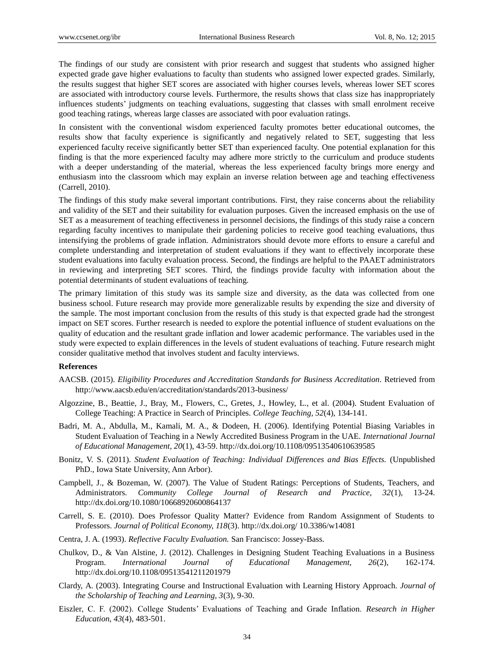The findings of our study are consistent with prior research and suggest that students who assigned higher expected grade gave higher evaluations to faculty than students who assigned lower expected grades. Similarly, the results suggest that higher SET scores are associated with higher courses levels, whereas lower SET scores are associated with introductory course levels. Furthermore, the results shows that class size has inappropriately influences students' judgments on teaching evaluations, suggesting that classes with small enrolment receive good teaching ratings, whereas large classes are associated with poor evaluation ratings.

In consistent with the conventional wisdom experienced faculty promotes better educational outcomes, the results show that faculty experience is significantly and negatively related to SET, suggesting that less experienced faculty receive significantly better SET than experienced faculty. One potential explanation for this finding is that the more experienced faculty may adhere more strictly to the curriculum and produce students with a deeper understanding of the material, whereas the less experienced faculty brings more energy and enthusiasm into the classroom which may explain an inverse relation between age and teaching effectiveness (Carrell, 2010).

The findings of this study make several important contributions. First, they raise concerns about the reliability and validity of the SET and their suitability for evaluation purposes. Given the increased emphasis on the use of SET as a measurement of teaching effectiveness in personnel decisions, the findings of this study raise a concern regarding faculty incentives to manipulate their gardening policies to receive good teaching evaluations, thus intensifying the problems of grade inflation. Administrators should devote more efforts to ensure a careful and complete understanding and interpretation of student evaluations if they want to effectively incorporate these student evaluations into faculty evaluation process. Second, the findings are helpful to the PAAET administrators in reviewing and interpreting SET scores. Third, the findings provide faculty with information about the potential determinants of student evaluations of teaching.

The primary limitation of this study was its sample size and diversity, as the data was collected from one business school. Future research may provide more generalizable results by expending the size and diversity of the sample. The most important conclusion from the results of this study is that expected grade had the strongest impact on SET scores. Further research is needed to explore the potential influence of student evaluations on the quality of education and the resultant grade inflation and lower academic performance. The variables used in the study were expected to explain differences in the levels of student evaluations of teaching. Future research might consider qualitative method that involves student and faculty interviews.

## **References**

- AACSB. (2015). *Eligibility Procedures and Accreditation Standards for Business Accreditation.* Retrieved from http://www.aacsb.edu/en/accreditation/standards/2013-business/
- Algozzine, B., Beattie, J., Bray, M., Flowers, C., Gretes, J., Howley, L., et al. (2004). Student Evaluation of College Teaching: A Practice in Search of Principles. *College Teaching, 52*(4), 134-141.
- Badri, M. A., Abdulla, M., Kamali, M. A., & Dodeen, H. (2006). Identifying Potential Biasing Variables in Student Evaluation of Teaching in a Newly Accredited Business Program in the UAE. *International Journal of Educational Management, 20*(1), 43-59. http://dx.doi.org/10.1108/09513540610639585
- Bonitz, V. S. (2011). *Student Evaluation of Teaching: Individual Differences and Bias Effects.* (Unpublished PhD., Iowa State University, Ann Arbor).
- Campbell, J., & Bozeman, W. (2007). The Value of Student Ratings: Perceptions of Students, Teachers, and Administrators. *Community College Journal of Research and Practice, 32*(1), 13-24. http://dx.doi.org/10.1080/10668920600864137
- Carrell, S. E. (2010). Does Professor Quality Matter? Evidence from Random Assignment of Students to Professors. *Journal of Political Economy, 118*(3). http://dx.doi.org/ 10.3386/w14081
- Centra, J. A. (1993). *Reflective Faculty Evaluation.* San Francisco: Jossey-Bass.
- Chulkov, D., & Van Alstine, J. (2012). Challenges in Designing Student Teaching Evaluations in a Business Program. *International Journal of Educational Management, 26*(2), 162-174. http://dx.doi.org/10.1108/09513541211201979
- Clardy, A. (2003). Integrating Course and Instructional Evaluation with Learning History Approach. *Journal of the Scholarship of Teaching and Learning, 3*(3), 9-30.
- Eiszler, C. F. (2002). College Students' Evaluations of Teaching and Grade Inflation. *Research in Higher Education, 43*(4), 483-501.